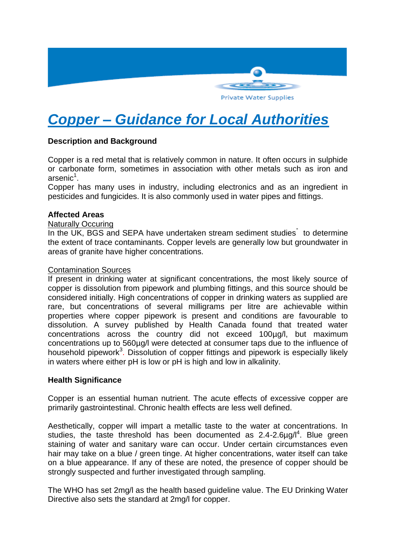

# *Copper – Guidance for Local Authorities*

# **Description and Background**

Copper is a red metal that is relatively common in nature. It often occurs in sulphide or carbonate form, sometimes in association with other metals such as iron and arsenic<sup>1</sup>.

Copper has many uses in industry, including electronics and as an ingredient in pesticides and fungicides. It is also commonly used in water pipes and fittings.

#### **Affected Areas**

#### Naturally Occuring

In the UK, BGS and SEPA have undertaken stream sediment studies<sup>"</sup> to determine the extent of trace contaminants. Copper levels are generally low but groundwater in areas of granite have higher concentrations.

#### Contamination Sources

If present in drinking water at significant concentrations, the most likely source of copper is dissolution from pipework and plumbing fittings, and this source should be considered initially. High concentrations of copper in drinking waters as supplied are rare, but concentrations of several milligrams per litre are achievable within properties where copper pipework is present and conditions are favourable to dissolution. A survey published by Health Canada found that treated water concentrations across the country did not exceed 100µg/l, but maximum concentrations up to 560µg/l were detected at consumer taps due to the influence of household pipework<sup>3</sup>. Dissolution of copper fittings and pipework is especially likely in waters where either pH is low or pH is high and low in alkalinity.

## **Health Significance**

Copper is an essential human nutrient. The acute effects of excessive copper are primarily gastrointestinal. Chronic health effects are less well defined.

Aesthetically, copper will impart a metallic taste to the water at concentrations. In studies, the taste threshold has been documented as  $2.4$ -2.6 $\mu$ g/l<sup>4</sup>. Blue green staining of water and sanitary ware can occur. Under certain circumstances even hair may take on a blue / green tinge. At higher concentrations, water itself can take on a blue appearance. If any of these are noted, the presence of copper should be strongly suspected and further investigated through sampling.

The WHO has set 2mg/l as the health based guideline value. The EU Drinking Water Directive also sets the standard at 2mg/l for copper.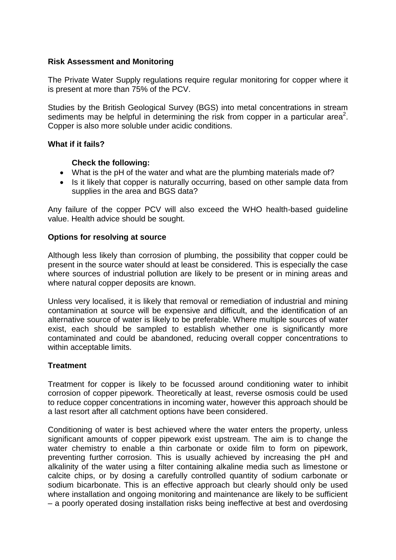## **Risk Assessment and Monitoring**

The Private Water Supply regulations require regular monitoring for copper where it is present at more than 75% of the PCV.

Studies by the British Geological Survey (BGS) into metal concentrations in stream sediments may be helpful in determining the risk from copper in a particular area<sup>2</sup>. Copper is also more soluble under acidic conditions.

## **What if it fails?**

## **Check the following:**

- What is the pH of the water and what are the plumbing materials made of?
- Is it likely that copper is naturally occurring, based on other sample data from supplies in the area and BGS data?

Any failure of the copper PCV will also exceed the WHO health-based guideline value. Health advice should be sought.

## **Options for resolving at source**

Although less likely than corrosion of plumbing, the possibility that copper could be present in the source water should at least be considered. This is especially the case where sources of industrial pollution are likely to be present or in mining areas and where natural copper deposits are known.

Unless very localised, it is likely that removal or remediation of industrial and mining contamination at source will be expensive and difficult, and the identification of an alternative source of water is likely to be preferable. Where multiple sources of water exist, each should be sampled to establish whether one is significantly more contaminated and could be abandoned, reducing overall copper concentrations to within acceptable limits.

## **Treatment**

Treatment for copper is likely to be focussed around conditioning water to inhibit corrosion of copper pipework. Theoretically at least, reverse osmosis could be used to reduce copper concentrations in incoming water, however this approach should be a last resort after all catchment options have been considered.

Conditioning of water is best achieved where the water enters the property, unless significant amounts of copper pipework exist upstream. The aim is to change the water chemistry to enable a thin carbonate or oxide film to form on pipework, preventing further corrosion. This is usually achieved by increasing the pH and alkalinity of the water using a filter containing alkaline media such as limestone or calcite chips, or by dosing a carefully controlled quantity of sodium carbonate or sodium bicarbonate. This is an effective approach but clearly should only be used where installation and ongoing monitoring and maintenance are likely to be sufficient – a poorly operated dosing installation risks being ineffective at best and overdosing